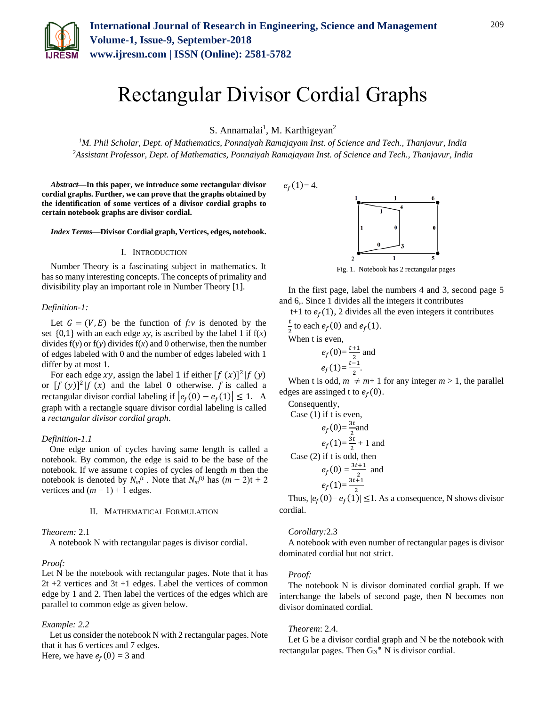

# Rectangular Divisor Cordial Graphs

S. Annamalai<sup>1</sup>, M. Karthigeyan<sup>2</sup>

*<sup>1</sup>M. Phil Scholar, Dept. of Mathematics, Ponnaiyah Ramajayam Inst. of Science and Tech., Thanjavur, India <sup>2</sup>Assistant Professor, Dept. of Mathematics, Ponnaiyah Ramajayam Inst. of Science and Tech., Thanjavur, India*

*Abstract***—In this paper, we introduce some rectangular divisor cordial graphs. Further, we can prove that the graphs obtained by the identification of some vertices of a divisor cordial graphs to certain notebook graphs are divisor cordial.**

*Index Terms***—Divisor Cordial graph, Vertices, edges, notebook.**

# I. INTRODUCTION

Number Theory is a fascinating subject in mathematics. It has so many interesting concepts. The concepts of primality and divisibility play an important role in Number Theory [1].

## *Definition-1:*

Let  $G = (V, E)$  be the function of  $f: v$  is denoted by the set  $\{0,1\}$  with an each edge *xy*, is ascribed by the label 1 if  $f(x)$ divides  $f(y)$  or  $f(y)$  divides  $f(x)$  and 0 otherwise, then the number of edges labeled with 0 and the number of edges labeled with 1 differ by at most 1.

For each edge xy, assign the label 1 if either  $[f(x)]^2 | f(y)$ or  $[f (y)]^2 | f (x)$  and the label 0 otherwise. f is called a rectangular divisor cordial labeling if  $|e_f(0) - e_f(1)| \le 1$ . A graph with a rectangle square divisor cordial labeling is called a *rectangular divisor cordial graph*.

#### *Definition-1.1*

One edge union of cycles having same length is called a notebook. By common, the edge is said to be the base of the notebook. If we assume t copies of cycles of length *m* then the notebook is denoted by  $N_m(t)$ . Note that  $N_m(t)$  has  $(m-2)t + 2$ vertices and  $(m - 1) + 1$  edges.

#### II. MATHEMATICAL FORMULATION

#### *Theorem:* 2.1

A notebook N with rectangular pages is divisor cordial.

# *Proof:*

Let N be the notebook with rectangular pages. Note that it has 2t +2 vertices and 3t +1 edges. Label the vertices of common edge by 1 and 2. Then label the vertices of the edges which are parallel to common edge as given below.

#### *Example: 2.2*

Let us consider the notebook N with 2 rectangular pages. Note that it has 6 vertices and 7 edges. Here, we have  $e_f(0) = 3$  and



In the first page, label the numbers 4 and 3, second page 5 and 6,. Since 1 divides all the integers it contributes

t+1 to  $e_f(1)$ , 2 divides all the even integers it contributes

t  $\frac{1}{2}$  to each  $e_f(0)$  and  $e_f(1)$ . When t is even,

$$
e_f(0) = \frac{t+1}{2}
$$
 and  
 $e_f(1) = \frac{t-1}{2}$ .

When t is odd,  $m \neq m+1$  for any integer  $m > 1$ , the parallel edges are assinged t to  $e_f(0)$ .

Consequently,

Case (1) if t is even,  
\n
$$
e_f(0) = \frac{3t}{2}
$$
and  
\n
$$
e_f(1) = \frac{3t}{2} + 1
$$
and  
\nCase (2) if t is odd, then  
\n
$$
e_f(0) = \frac{3t+1}{2}
$$
and  
\n
$$
e_f(1) = \frac{3t+1}{2}
$$

2 Thus,  $|e_f(0) - e_f(1)| \leq 1$ . As a consequence, N shows divisor cordial.

#### *Corollary:*2.3

A notebook with even number of rectangular pages is divisor dominated cordial but not strict.

#### *Proof:*

The notebook N is divisor dominated cordial graph. If we interchange the labels of second page, then N becomes non divisor dominated cordial.

## *Theorem*: 2.4.

Let G be a divisor cordial graph and N be the notebook with rectangular pages. Then  $G_N^*$  N is divisor cordial.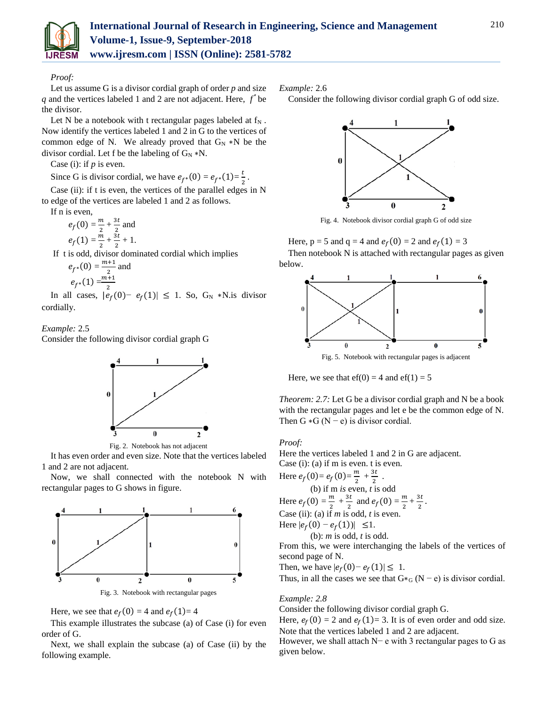

# *Proof:*

Let us assume G is a divisor cordial graph of order *p* and size  $q$  and the vertices labeled 1 and 2 are not adjacent. Here,  $f^*$  be the divisor.

Let N be a notebook with t rectangular pages labeled at  $f_N$ . Now identify the vertices labeled 1 and 2 in G to the vertices of common edge of N. We already proved that  $G_N * N$  be the divisor cordial. Let f be the labeling of  $G_N * N$ .

Case (i): if *p* is even.

Since G is divisor cordial, we have  $e_{f^*}(0) = e_{f^*}(1) = \frac{t}{2}$  $\frac{1}{2}$ .

Case (ii): if t is even, the vertices of the parallel edges in N to edge of the vertices are labeled 1 and 2 as follows.

If n is even,

 $e_f(0) = \frac{m}{2}$  $\frac{m}{2} + \frac{3t}{2}$  $\frac{3i}{2}$  and  $e_f(1) = \frac{m}{2}$  $\frac{m}{2} + \frac{3t}{2}$  $\frac{3i}{2}+1.$ 

If t is odd, divisor dominated cordial which implies

$$
e_{f^*}(0) = \frac{m+1}{2}
$$
 and  
 $e_{f^*}(1) = \frac{m+1}{2}$ 

In all cases,  $|e_f(0) - e_f(1)| \le 1$ . So, G<sub>N</sub> \*N.is divisor cordially.

# *Example:* 2.5

Consider the following divisor cordial graph G



Fig. 2. Notebook has not adjacent

It has even order and even size. Note that the vertices labeled 1 and 2 are not adjacent.

Now, we shall connected with the notebook N with rectangular pages to G shows in figure.



Here, we see that  $e_f(0) = 4$  and  $e_f(1) = 4$ 

This example illustrates the subcase (a) of Case (i) for even order of G.

Next, we shall explain the subcase (a) of Case (ii) by the following example.

*Example:* 2.6

Consider the following divisor cordial graph G of odd size.



Fig. 4. Notebook divisor cordial graph G of odd size

Here,  $p = 5$  and  $q = 4$  and  $e_f(0) = 2$  and  $e_f(1) = 3$ Then notebook N is attached with rectangular pages as given below.



Here, we see that  $ef(0) = 4$  and  $ef(1) = 5$ 

*Theorem: 2.7:* Let G be a divisor cordial graph and N be a book with the rectangular pages and let e be the common edge of N. Then G  $*G (N - e)$  is divisor cordial.

# *Proof:*

Here the vertices labeled 1 and 2 in G are adjacent.

Case (i): (a) if m is even. t is even. Here  $e_f(0) = e_f(0) = \frac{m}{2} + \frac{3t}{2}$ . (b) if m *is* even, *t* is odd Here  $e_f(0) = \frac{m}{2}$  $\frac{m}{2}$  +  $\frac{3t}{2}$  $\frac{3t}{2}$  and  $e_f(0) = \frac{m}{2}$  $\frac{m}{2} + \frac{3t}{2}$  $\frac{1}{2}$ . Case (ii): (a) if  $m$  is odd,  $t$  is even. Here  $|e_f(0) - e_f(1)| \leq 1$ . (b): *m* is odd, *t* is odd.

From this, we were interchanging the labels of the vertices of second page of N.

Then, we have  $|e_f(0) - e_f(1)| \leq 1$ .

Thus, in all the cases we see that  $G*_{G} (N - e)$  is divisor cordial.

# *Example: 2.8*

Consider the following divisor cordial graph G.

Here,  $e_f(0) = 2$  and  $e_f(1) = 3$ . It is of even order and odd size. Note that the vertices labeled 1 and 2 are adjacent. However, we shall attach N− e with 3 rectangular pages to G as given below.